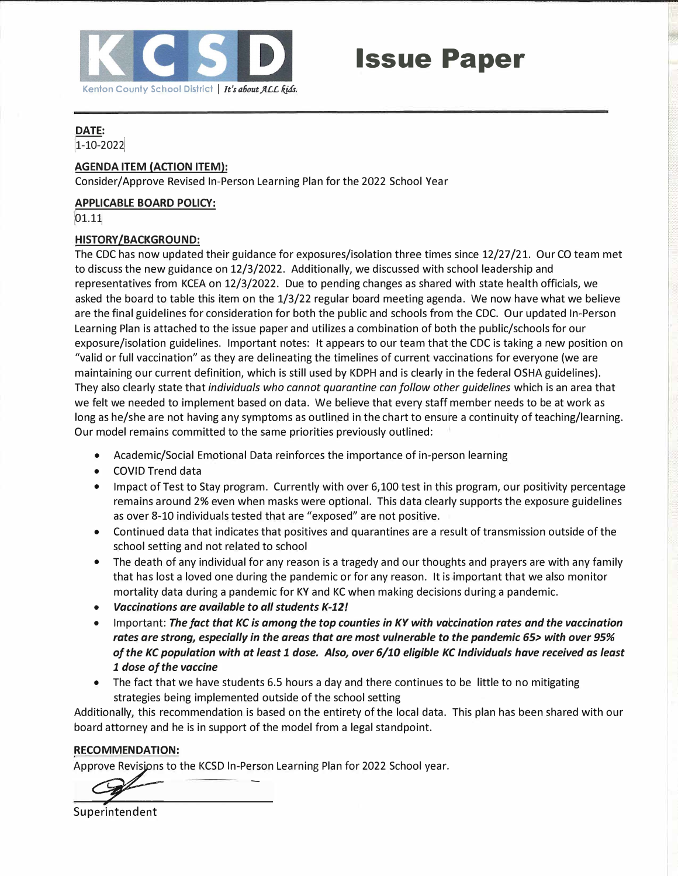

# **Issue Paper**

#### **DATE:**

[1-10-202�

#### **AGENDA ITEM (ACTION ITEM):**

Consider/ Approve Revised In-Person Learning Plan for the 2022 School Year

#### **APPLICABLE BOARD POLICY:**

01.11

#### **HISTORY /BACKGROUND:**

The CDC has now updated their guidance for exposures/isolation three times since 12/27 /21. Our CO team met to discuss the new guidance on 12/3/2022. Additionally, we discussed with school leadership and representatives from KCEA on 12/3/2022. Due to pending changes as shared with state health officials, we asked the board to table this item on the 1/3/22 regular board meeting agenda. We now have what we believe are the final guidelines for consideration for both the public and schools from the CDC. Our updated In-Person Learning Plan is attached to the issue paper and utilizes a combination of both the public/schools for our exposure/isolation guidelines. Important notes: It appears to our team that the CDC is taking a new position on "valid or full vaccination" as they are delineating the timelines of current vaccinations for everyone (we are maintaining our current definition, which is still used by KDPH and is clearly in the federal OSHA guidelines). They also clearly state that *individuals who cannot quarantine can follow other guidelines* which is an area that we felt we needed to implement based on data. We believe that every staff member needs to be at work as long as he/she are not having any symptoms as outlined in the chart to ensure a continuity of teaching/learning. Our model remains committed to the same priorities previously outlined:

- Academic/Social Emotional Data reinforces the importance of in-person learning
- COVID Trend data
- Impact of Test to Stay program. Currently with over 6,100 test in this program, our positivity percentage remains around 2% even when masks were optional. This data clearly supports the exposure guidelines as over 8-10 individuals tested that are "exposed" are not positive.
- Continued data that indicates that positives and quarantines are a result of transmission outside of the school setting and not related to school
- The death of any individual for any reason is a tragedy and our thoughts and prayers are with any family that has lost a loved one during the pandemic or for any reason. It is important that we also monitor mortality data during a pandemic for KY and KC when making decisions during a pandemic.
- *Vaccinations are available to all students K-12!*
- Important: *The fact that KC is among the top counties in KY with vaccination rates and the vaccination rates are strong, especially in the areas that are most vulnerable to the pandemic 65> with over 95% of the KC population with at least 1 dose. Also, over 6/10 eligible KC Individuals have received as least 1 dose of the vaccine*
- The fact that we have students 6.5 hours a day and there continues to be little to no mitigating strategies being implemented outside of the school setting

Additionally, this recommendation is based on the entirety of the local data. This plan has been shared with our board attorney and he is in support of the model from a legal standpoint.

#### **RECOMMENDATION:**

Approve Revisions to the KCSD In-Person Learning Plan for 2022 School year.

Superintendent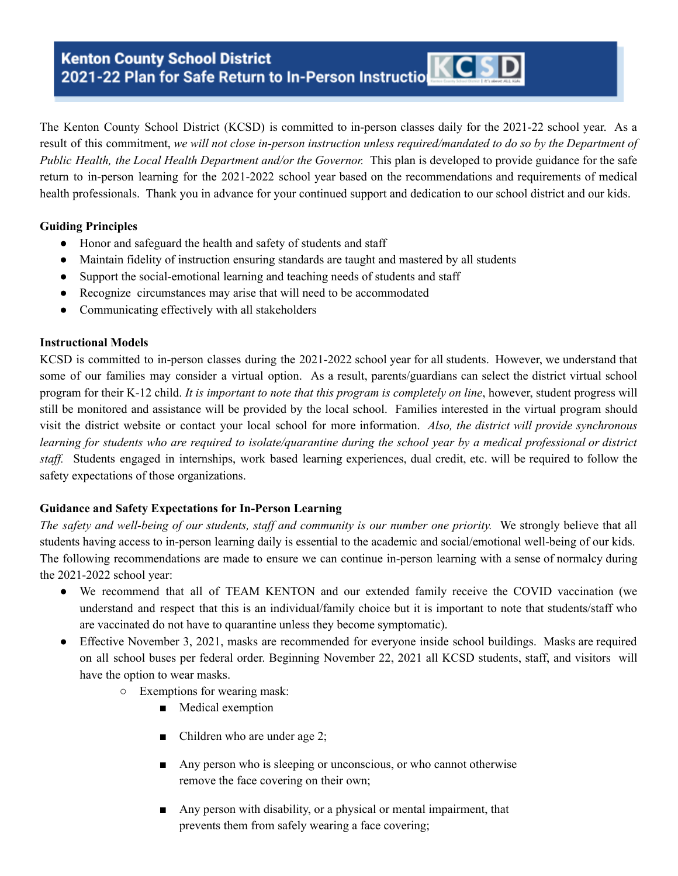## **Kenton County School District** Kenton County School District<br>2021-22 Plan for Safe Return to In-Person Instruction KCSD

The Kenton County School District (KCSD) is committed to in-person classes daily for the 2021-22 school year. As a result of this commitment, we will not close in-person instruction unless required/mandated to do so by the Department of *Public Health, the Local Health Department and/or the Governor.* This plan is developed to provide guidance for the safe return to in-person learning for the 2021-2022 school year based on the recommendations and requirements of medical health professionals. Thank you in advance for your continued support and dedication to our school district and our kids.

#### **Guiding Principles**

- Honor and safeguard the health and safety of students and staff
- Maintain fidelity of instruction ensuring standards are taught and mastered by all students
- Support the social-emotional learning and teaching needs of students and staff
- Recognize circumstances may arise that will need to be accommodated
- Communicating effectively with all stakeholders

#### **Instructional Models**

KCSD is committed to in-person classes during the 2021-2022 school year for all students. However, we understand that some of our families may consider a virtual option. As a result, parents/guardians can select the district virtual school program for their K-12 child. *It is important to note that this program is completely on line*, however, student progress will still be monitored and assistance will be provided by the local school. Families interested in the virtual program should visit the district website or contact your local school for more information. *Also, the district will provide synchronous* learning for students who are required to isolate/quarantine during the school year by a medical professional or district *staff.* Students engaged in internships, work based learning experiences, dual credit, etc. will be required to follow the safety expectations of those organizations.

#### **Guidance and Safety Expectations for In-Person Learning**

*The safety and well-being of our students, staf and community is our number one priority.* We strongly believe that all students having access to in-person learning daily is essential to the academic and social/emotional well-being of our kids. The following recommendations are made to ensure we can continue in-person learning with a sense of normalcy during the 2021-2022 school year:

- We recommend that all of TEAM KENTON and our extended family receive the COVID vaccination (we understand and respect that this is an individual/family choice but it is important to note that students/staff who are vaccinated do not have to quarantine unless they become symptomatic).
- Effective November 3, 2021, masks are recommended for everyone inside school buildings. Masks are required on all school buses per federal order. Beginning November 22, 2021 all KCSD students, staff, and visitors will have the option to wear masks.
	- Exemptions for wearing mask:
		- Medical exemption
		- Children who are under age 2;
		- Any person who is sleeping or unconscious, or who cannot otherwise remove the face covering on their own;
		- Any person with disability, or a physical or mental impairment, that prevents them from safely wearing a face covering;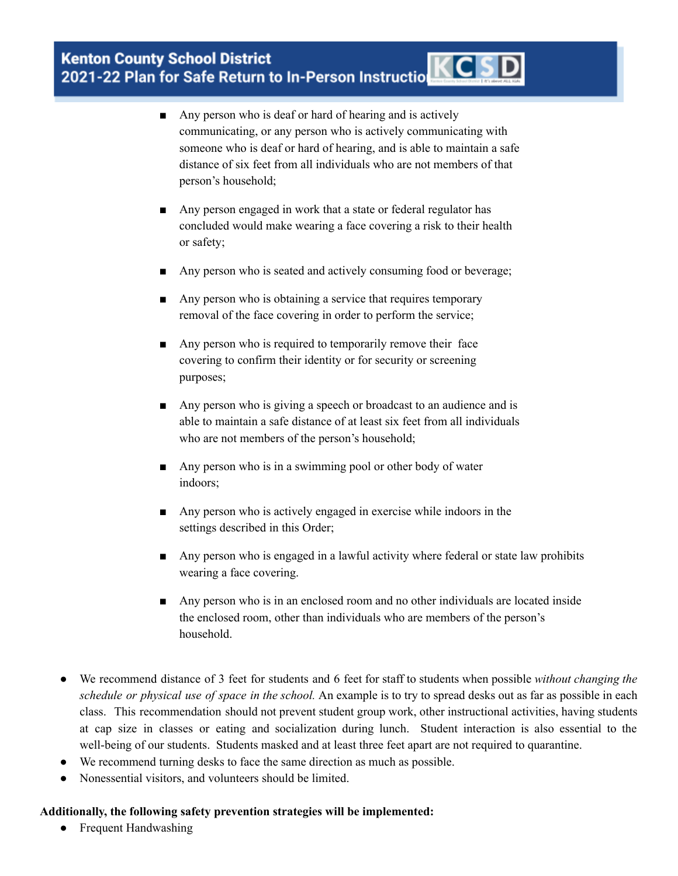#### • Frequent Handwashing

## **Kenton County School District** Kenton County School District<br>2021-22 Plan for Safe Return to In-Person Instruction KCSD

- Any person who is deaf or hard of hearing and is actively communicating, or any person who is actively communicating with someone who is deaf or hard of hearing, and is able to maintain a safe distance of six feet from all individuals who are not members of that person's household;
- Any person engaged in work that a state or federal regulator has concluded would make wearing a face covering a risk to their health or safety;
- Any person who is seated and actively consuming food or beverage;
- Any person who is obtaining a service that requires temporary removal of the face covering in order to perform the service;
- Any person who is required to temporarily remove their face covering to confirm their identity or for security or screening purposes;
- Any person who is giving a speech or broadcast to an audience and is able to maintain a safe distance of at least six feet from all individuals who are not members of the person's household;
- Any person who is in a swimming pool or other body of water indoors;
- Any person who is actively engaged in exercise while indoors in the settings described in this Order;
- Any person who is engaged in a lawful activity where federal or state law prohibits wearing a face covering.
- Any person who is in an enclosed room and no other individuals are located inside the enclosed room, other than individuals who are members of the person's household.
- We recommend distance of 3 feet for students and 6 feet for staff to students when possible *without changing the schedule or physical use of space in the school.* An example is to try to spread desks out as far as possible in each class. This recommendation should not prevent student group work, other instructional activities, having students at cap size in classes or eating and socialization during lunch. Student interaction is also essential to the well-being of our students. Students masked and at least three feet apart are not required to quarantine.
- We recommend turning desks to face the same direction as much as possible.
- Nonessential visitors, and volunteers should be limited.

### **Additionally, the following safety prevention strategies will be implemented:**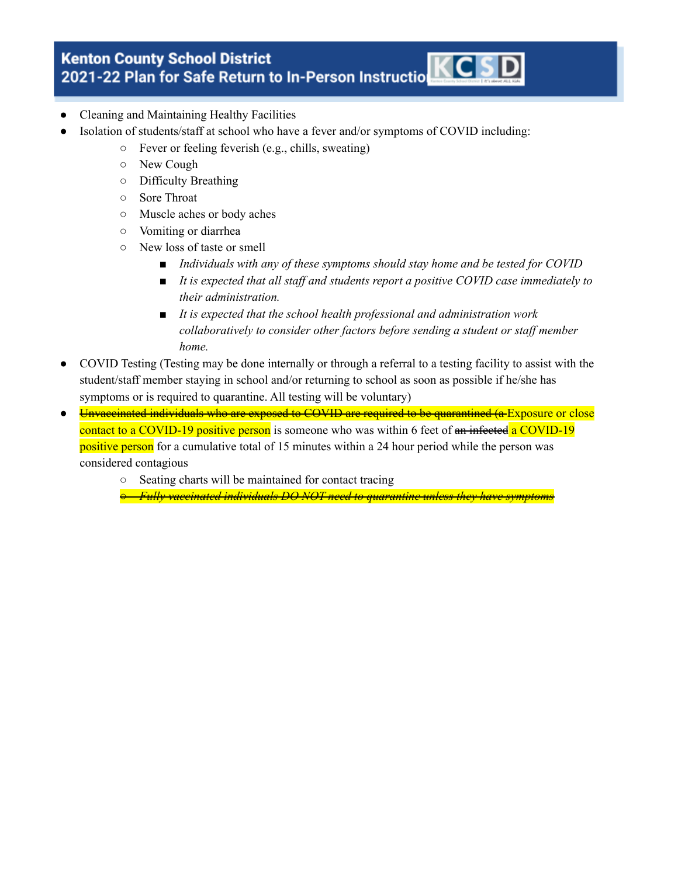- Cleaning and Maintaining Healthy Facilities
- Isolation of students/staff at school who have a fever and/or symptoms of COVID including:
	- Fever or feeling feverish (e.g., chills, sweating)
	- New Cough
	- Difficulty Breathing
	- Sore Throat
	- Muscle aches or body aches
	- Vomiting or diarrhea
	- New loss of taste or smell
		- *■ Individuals with any of these symptoms should stay home and be tested for COVID*
		- *■ It is expected that all staf and students report a positive COVID case immediately to their administration.*
		- *■ It is expected that the school health professional and administration work collaboratively to consider other factors before sending a student or staf member home.*
- COVID Testing (Testing may be done internally or through a referral to a testing facility to assist with the student/staff member staying in school and/or returning to school as soon as possible if he/she has symptoms or is required to quarantine. All testing will be voluntary)
- Unvaccinated individuals who are exposed to COVID are required to be quarantined (a Exposure or close contact to a COVID-19 positive person is someone who was within 6 feet of an infected a COVID-19 positive person for a cumulative total of 15 minutes within a 24 hour period while the person was considered contagious
	- Seating charts will be maintained for contact tracing

*○ Fully vaccinated individuals DO NOT need to quarantine unless they have symptoms*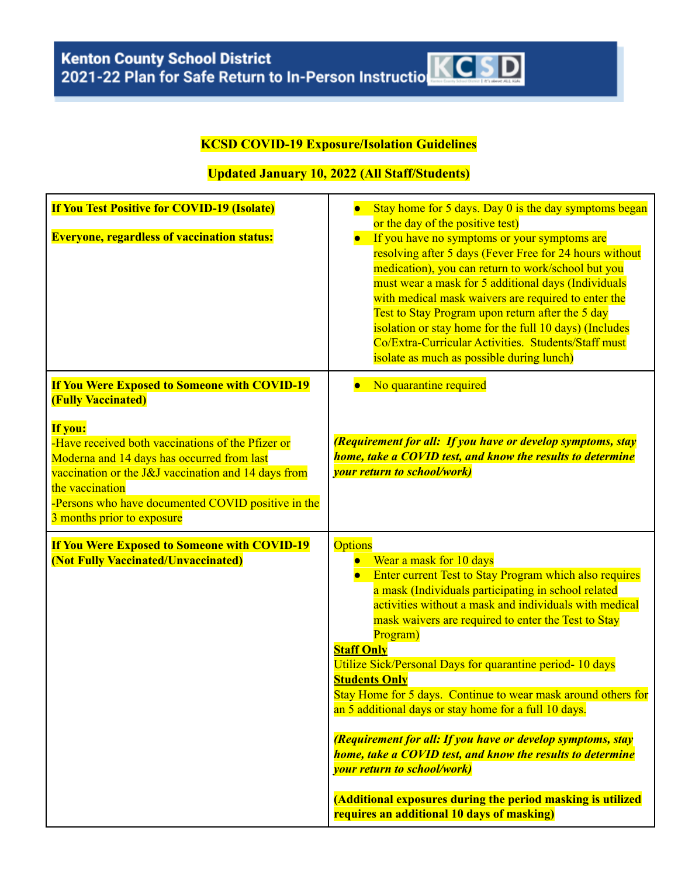## **KCSD COVID-19 Exposure/Isolation Guidelines**

### **Updated January 10, 2022 (All Staff/Students)**

| <b>If You Test Positive for COVID-19 (Isolate)</b><br><b>Everyone, regardless of vaccination status:</b>                                                                                                                                                                                                                                                     | Stay home for 5 days. Day 0 is the day symptoms began<br>or the day of the positive test)<br>If you have no symptoms or your symptoms are<br>resolving after 5 days (Fever Free for 24 hours without<br>medication), you can return to work/school but you<br>must wear a mask for 5 additional days (Individuals<br>with medical mask waivers are required to enter the<br>Test to Stay Program upon return after the 5 day<br>isolation or stay home for the full 10 days) (Includes<br>Co/Extra-Curricular Activities. Students/Staff must<br>isolate as much as possible during lunch)                                                                                                                                                                                                                 |
|--------------------------------------------------------------------------------------------------------------------------------------------------------------------------------------------------------------------------------------------------------------------------------------------------------------------------------------------------------------|------------------------------------------------------------------------------------------------------------------------------------------------------------------------------------------------------------------------------------------------------------------------------------------------------------------------------------------------------------------------------------------------------------------------------------------------------------------------------------------------------------------------------------------------------------------------------------------------------------------------------------------------------------------------------------------------------------------------------------------------------------------------------------------------------------|
| <b>If You Were Exposed to Someone with COVID-19</b><br><b>(Fully Vaccinated)</b><br>If you:<br>-Have received both vaccinations of the Pfizer or<br>Moderna and 14 days has occurred from last<br>vaccination or the J&J vaccination and 14 days from<br>the vaccination<br>-Persons who have documented COVID positive in the<br>3 months prior to exposure | No quarantine required<br>(Requirement for all: If you have or develop symptoms, stay<br>home, take a COVID test, and know the results to determine<br><i>vour return to school/work)</i>                                                                                                                                                                                                                                                                                                                                                                                                                                                                                                                                                                                                                  |
| <b>If You Were Exposed to Someone with COVID-19</b><br>(Not Fully Vaccinated/Unvaccinated)                                                                                                                                                                                                                                                                   | <b>Options</b><br>Wear a mask for 10 days<br>Enter current Test to Stay Program which also requires<br>a mask (Individuals participating in school related<br>activities without a mask and individuals with medical<br>mask waivers are required to enter the Test to Stay<br>Program)<br><b>Staff Only</b><br>Utilize Sick/Personal Days for quarantine period-10 days<br><b>Students Only</b><br>Stay Home for 5 days. Continue to wear mask around others for<br>an 5 additional days or stay home for a full 10 days.<br>(Requirement for all: If you have or develop symptoms, stay<br>home, take a COVID test, and know the results to determine<br><i>vour return to school/work)</i><br>(Additional exposures during the period masking is utilized<br>requires an additional 10 days of masking) |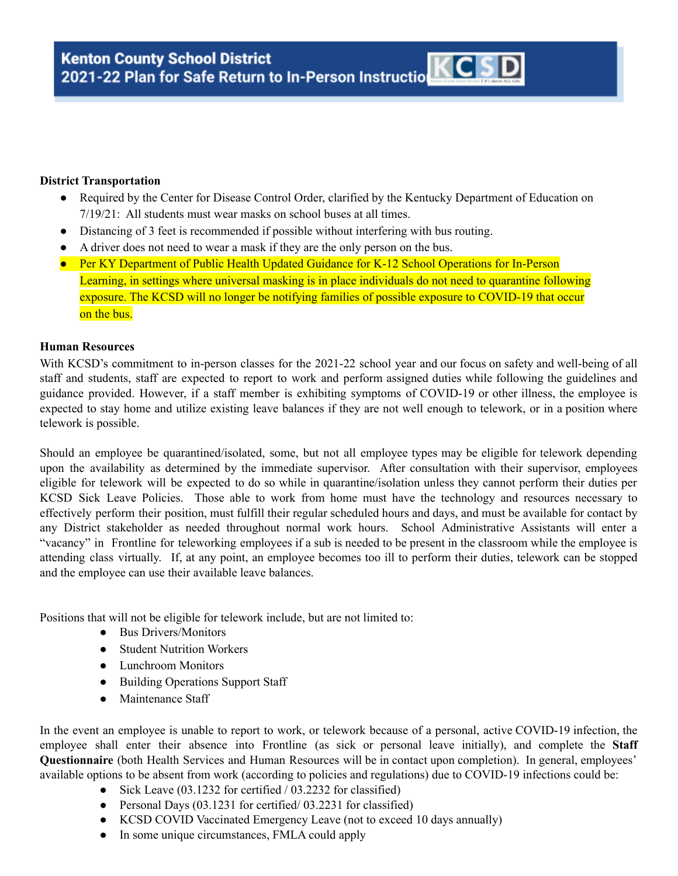#### **District Transportation**

- Required by the Center for Disease Control Order, clarified by the Kentucky Department of Education on 7/19/21: All students must wear masks on school buses at all times.
- Distancing of 3 feet is recommended if possible without interfering with bus routing.
- A driver does not need to wear a mask if they are the only person on the bus.
- Per KY Department of Public Health Updated Guidance for K-12 School Operations for In-Person Learning, in settings where universal masking is in place individuals do not need to quarantine following exposure. The KCSD will no longer be notifying families of possible exposure to COVID-19 that occur on the bus.

#### **Human Resources**

With KCSD's commitment to in-person classes for the 2021-22 school year and our focus on safety and well-being of all staff and students, staff are expected to report to work and perform assigned duties while following the guidelines and guidance provided. However, if a staff member is exhibiting symptoms of COVID-19 or other illness, the employee is expected to stay home and utilize existing leave balances if they are not well enough to telework, or in a position where telework is possible.

Should an employee be quarantined/isolated, some, but not all employee types may be eligible for telework depending upon the availability as determined by the immediate supervisor. After consultation with their supervisor, employees eligible for telework will be expected to do so while in quarantine/isolation unless they cannot perform their duties per KCSD Sick Leave Policies. Those able to work from home must have the technology and resources necessary to effectively perform their position, must fulfill their regular scheduled hours and days, and must be available for contact by any District stakeholder as needed throughout normal work hours. School Administrative Assistants will enter a "vacancy" in Frontline for teleworking employees if a sub is needed to be present in the classroom while the employee is attending class virtually. If, at any point, an employee becomes too ill to perform their duties, telework can be stopped and the employee can use their available leave balances.

Positions that will not be eligible for telework include, but are not limited to:

- Bus Drivers/Monitors
- Student Nutrition Workers
- Lunchroom Monitors
- Building Operations Support Staff
- Maintenance Staff

In the event an employee is unable to report to work, or telework because of a personal, active COVID-19 infection, the employee shall enter their absence into Frontline (as sick or personal leave initially), and complete the **Staff Questionnaire** (both Health Services and Human Resources will be in contact upon completion). In general, employees' available options to be absent from work (according to policies and regulations) due to COVID-19 infections could be:

- Sick Leave (03.1232 for certified / 03.2232 for classified)
- Personal Days (03.1231 for certified/ 03.2231 for classified)
- KCSD COVID Vaccinated Emergency Leave (not to exceed 10 days annually)
- In some unique circumstances, FMLA could apply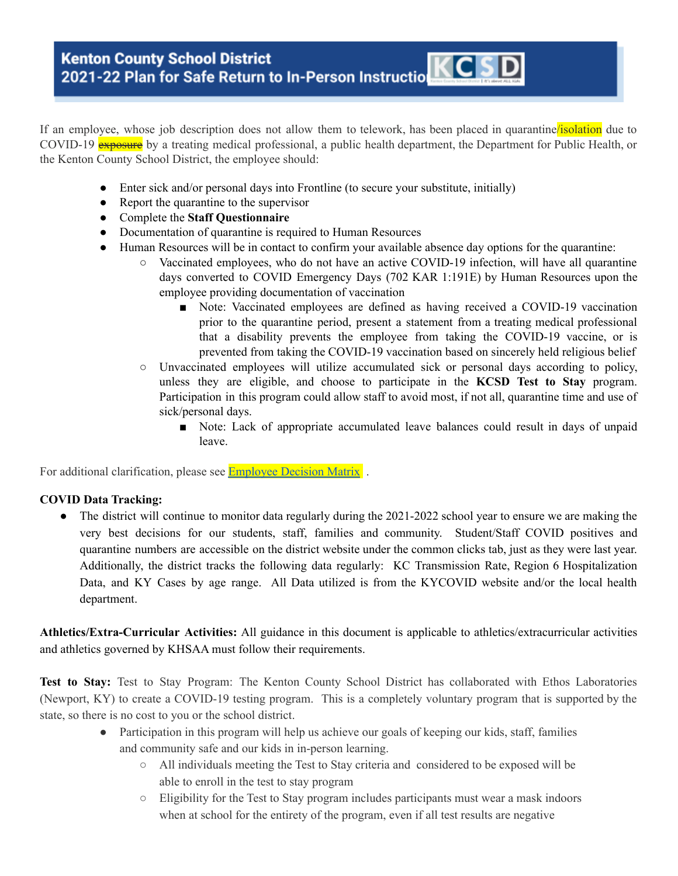If an employee, whose job description does not allow them to telework, has been placed in quarantine/isolation due to COVID-19 **exposure** by a treating medical professional, a public health department, the Department for Public Health, or the Kenton County School District, the employee should:

- Enter sick and/or personal days into Frontline (to secure your substitute, initially)
- Report the quarantine to the supervisor
- Complete the **Staff Questionnaire**
- Documentation of quarantine is required to Human Resources
- Human Resources will be in contact to confirm your available absence day options for the quarantine:
	- Vaccinated employees, who do not have an active COVID-19 infection, will have all quarantine days converted to COVID Emergency Days (702 KAR 1:191E) by Human Resources upon the employee providing documentation of vaccination
		- Note: Vaccinated employees are defined as having received a COVID-19 vaccination prior to the quarantine period, present a statement from a treating medical professional that a disability prevents the employee from taking the COVID-19 vaccine, or is prevented from taking the COVID-19 vaccination based on sincerely held religious belief
	- Unvaccinated employees will utilize accumulated sick or personal days according to policy, unless they are eligible, and choose to participate in the **KCSD Test to Stay** program. Participation in this program could allow staff to avoid most, if not all, quarantine time and use of sick/personal days.
		- Note: Lack of appropriate accumulated leave balances could result in days of unpaid leave.

For additional clarification, please see **[Employee](https://drive.google.com/file/d/1-ots58Mdpclr1MpcqDZ1W-XGTNuaryr0/view?usp=sharing) Decision Matrix**.

#### **COVID Data Tracking:**

**●** The district will continue to monitor data regularly during the 2021-2022 school year to ensure we are making the very best decisions for our students, staff, families and community. Student/Staff COVID positives and quarantine numbers are accessible on the district website under the common clicks tab, just as they were last year. Additionally, the district tracks the following data regularly: KC Transmission Rate, Region 6 Hospitalization Data, and KY Cases by age range. All Data utilized is from the KYCOVID website and/or the local health department.

**Athletics/Extra-Curricular Activities:** All guidance in this document is applicable to athletics/extracurricular activities and athletics governed by KHSAA must follow their requirements.

**Test to Stay:** Test to Stay Program: The Kenton County School District has collaborated with Ethos Laboratories (Newport, KY) to create a COVID-19 testing program. This is a completely voluntary program that is supported by the state, so there is no cost to you or the school district.

- Participation in this program will help us achieve our goals of keeping our kids, staff, families and community safe and our kids in in-person learning.
	- All individuals meeting the Test to Stay criteria and considered to be exposed will be able to enroll in the test to stay program
	- Eligibility for the Test to Stay program includes participants must wear a mask indoors when at school for the entirety of the program, even if all test results are negative